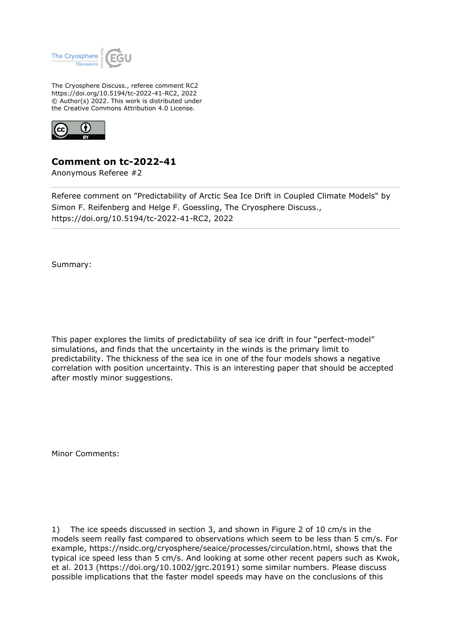

The Cryosphere Discuss., referee comment RC2 https://doi.org/10.5194/tc-2022-41-RC2, 2022 © Author(s) 2022. This work is distributed under the Creative Commons Attribution 4.0 License.



## **Comment on tc-2022-41**

Anonymous Referee #2

Referee comment on "Predictability of Arctic Sea Ice Drift in Coupled Climate Models" by Simon F. Reifenberg and Helge F. Goessling, The Cryosphere Discuss., https://doi.org/10.5194/tc-2022-41-RC2, 2022

Summary:

This paper explores the limits of predictability of sea ice drift in four "perfect-model" simulations, and finds that the uncertainty in the winds is the primary limit to predictability. The thickness of the sea ice in one of the four models shows a negative correlation with position uncertainty. This is an interesting paper that should be accepted after mostly minor suggestions.

Minor Comments:

1) The ice speeds discussed in section 3, and shown in Figure 2 of 10 cm/s in the models seem really fast compared to observations which seem to be less than 5 cm/s. For example, https://nsidc.org/cryosphere/seaice/processes/circulation.html, shows that the typical ice speed less than 5 cm/s. And looking at some other recent papers such as Kwok, et al. 2013 (https://doi.org/10.1002/jgrc.20191) some similar numbers. Please discuss possible implications that the faster model speeds may have on the conclusions of this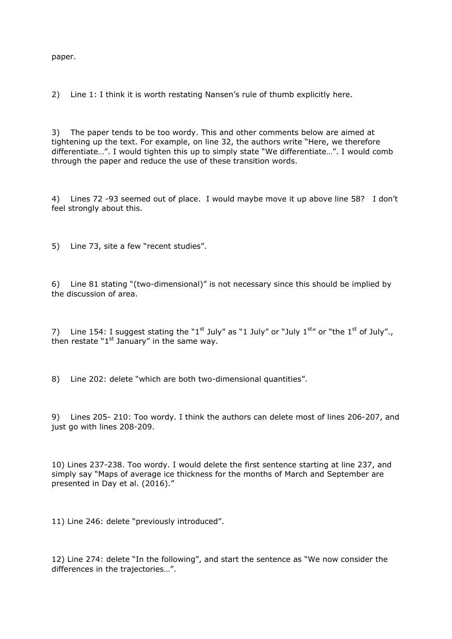paper.

2) Line 1: I think it is worth restating Nansen's rule of thumb explicitly here.

3) The paper tends to be too wordy. This and other comments below are aimed at tightening up the text. For example, on line 32, the authors write "Here, we therefore differentiate…". I would tighten this up to simply state "We differentiate…". I would comb through the paper and reduce the use of these transition words.

4) Lines 72 -93 seemed out of place. I would maybe move it up above line 58? I don't feel strongly about this.

5) Line 73, site a few "recent studies".

6) Line 81 stating "(two-dimensional)" is not necessary since this should be implied by the discussion of area.

7) Line 154: I suggest stating the "1<sup>st</sup> July" as "1 July" or "July 1<sup>st</sup>" or "the 1<sup>st</sup> of July". then restate " $1<sup>st</sup>$  January" in the same way.

8) Line 202: delete "which are both two-dimensional quantities".

9) Lines 205- 210: Too wordy. I think the authors can delete most of lines 206-207, and just go with lines 208-209.

10) Lines 237-238. Too wordy. I would delete the first sentence starting at line 237, and simply say "Maps of average ice thickness for the months of March and September are presented in Day et al. (2016)."

11) Line 246: delete "previously introduced".

12) Line 274: delete "In the following", and start the sentence as "We now consider the differences in the trajectories…".